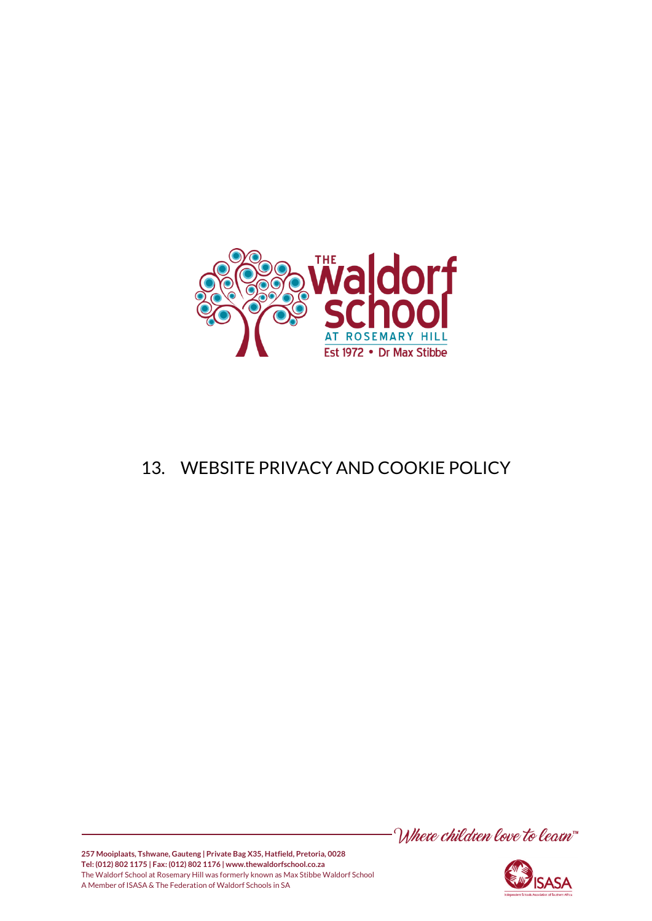

# 13. WEBSITE PRIVACY AND COOKIE POLICY





**257 Mooiplaats, Tshwane, Gauteng | Private Bag X35, Hatfield, Pretoria, 0028 Tel: (012) 802 1175 | Fax: (012) 802 1176 | www.thewaldorfschool.co.za**  The Waldorf School at Rosemary Hill was formerly known as Max Stibbe Waldorf School A Member of ISASA & The Federation of Waldorf Schools in SA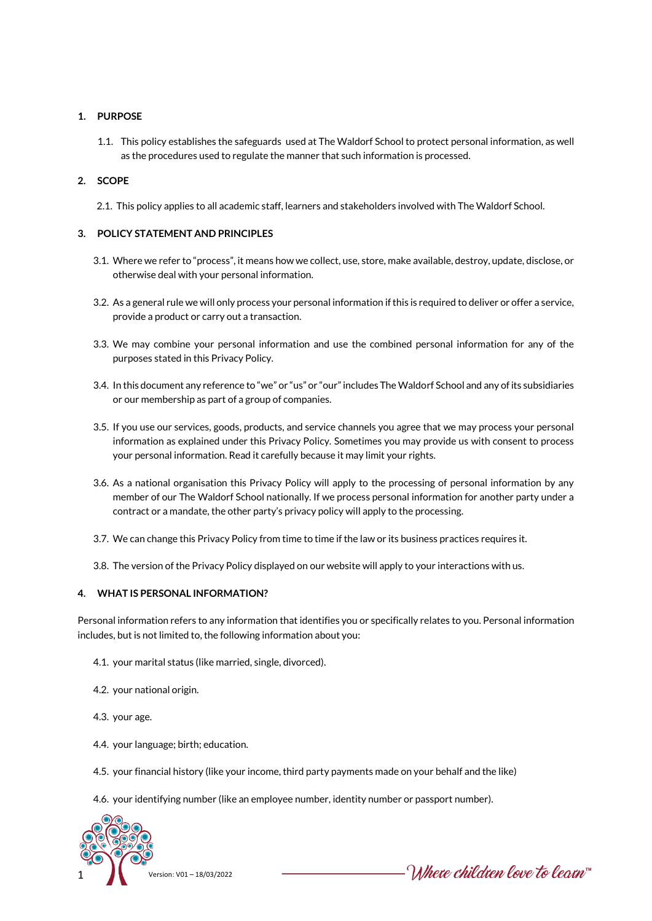# **1. PURPOSE**

1.1. This policy establishes the safeguards used at The Waldorf School to protect personal information, as well as the procedures used to regulate the manner that such information is processed.

# **2. SCOPE**

2.1. This policy applies to all academic staff, learners and stakeholders involved with The Waldorf School.

# **3. POLICY STATEMENT AND PRINCIPLES**

- 3.1. Where we refer to "process", it means how we collect, use, store, make available, destroy, update, disclose, or otherwise deal with your personal information.
- 3.2. As a general rule we will only process your personal information if this is required to deliver or offer a service, provide a product or carry out a transaction.
- 3.3. We may combine your personal information and use the combined personal information for any of the purposes stated in this Privacy Policy.
- 3.4. In this document any reference to "we" or "us" or "our" includes The Waldorf School and any of its subsidiaries or our membership as part of a group of companies.
- 3.5. If you use our services, goods, products, and service channels you agree that we may process your personal information as explained under this Privacy Policy. Sometimes you may provide us with consent to process your personal information. Read it carefully because it may limit your rights.
- 3.6. As a national organisation this Privacy Policy will apply to the processing of personal information by any member of our The Waldorf School nationally. If we process personal information for another party under a contract or a mandate, the other party's privacy policy will apply to the processing.
- 3.7. We can change this Privacy Policy from time to time if the law or its business practices requires it.
- 3.8. The version of the Privacy Policy displayed on our website will apply to your interactions with us.

# **4. WHAT IS PERSONAL INFORMATION?**

Personal information refers to any information that identifies you or specifically relates to you. Personal information includes, but is not limited to, the following information about you:

- 4.1. your marital status (like married, single, divorced).
- 4.2. your national origin.
- 4.3. your age.
- 4.4. your language; birth; education.
- 4.5. your financial history (like your income, third party payments made on your behalf and the like)
- 4.6. your identifying number (like an employee number, identity number or passport number).



Mhere children love to learn"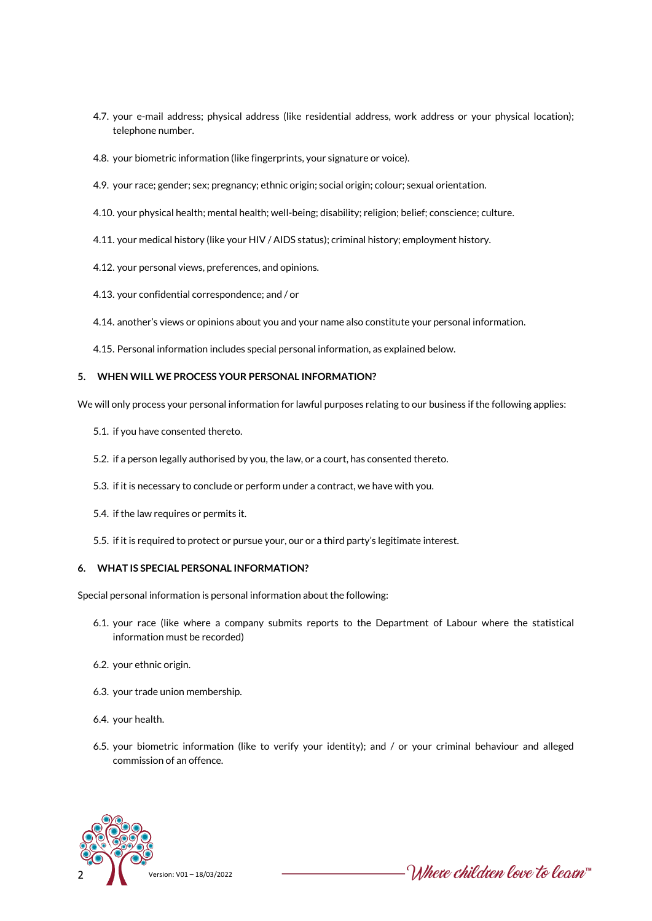- 4.7. your e-mail address; physical address (like residential address, work address or your physical location); telephone number.
- 4.8. your biometric information (like fingerprints, your signature or voice).
- 4.9. your race; gender; sex; pregnancy; ethnic origin; social origin; colour; sexual orientation.
- 4.10. your physical health; mental health; well-being; disability; religion; belief; conscience; culture.
- 4.11. your medical history (like your HIV / AIDS status); criminal history; employment history.
- 4.12. your personal views, preferences, and opinions.
- 4.13. your confidential correspondence; and / or
- 4.14. another's views or opinions about you and your name also constitute your personal information.
- 4.15. Personal information includes special personal information, as explained below.

#### **5. WHEN WILL WE PROCESS YOUR PERSONAL INFORMATION?**

We will only process your personal information for lawful purposes relating to our business if the following applies:

- 5.1. if you have consented thereto.
- 5.2. if a person legally authorised by you, the law, or a court, has consented thereto.
- 5.3. if it is necessary to conclude or perform under a contract, we have with you.
- 5.4. if the law requires or permits it.
- 5.5. if it is required to protect or pursue your, our or a third party's legitimate interest.

# **6. WHAT IS SPECIAL PERSONAL INFORMATION?**

Special personal information is personal information about the following:

- 6.1. your race (like where a company submits reports to the Department of Labour where the statistical information must be recorded)
- 6.2. your ethnic origin.
- 6.3. your trade union membership.
- 6.4. your health.
- 6.5. your biometric information (like to verify your identity); and / or your criminal behaviour and alleged commission of an offence.



Where children love to learn™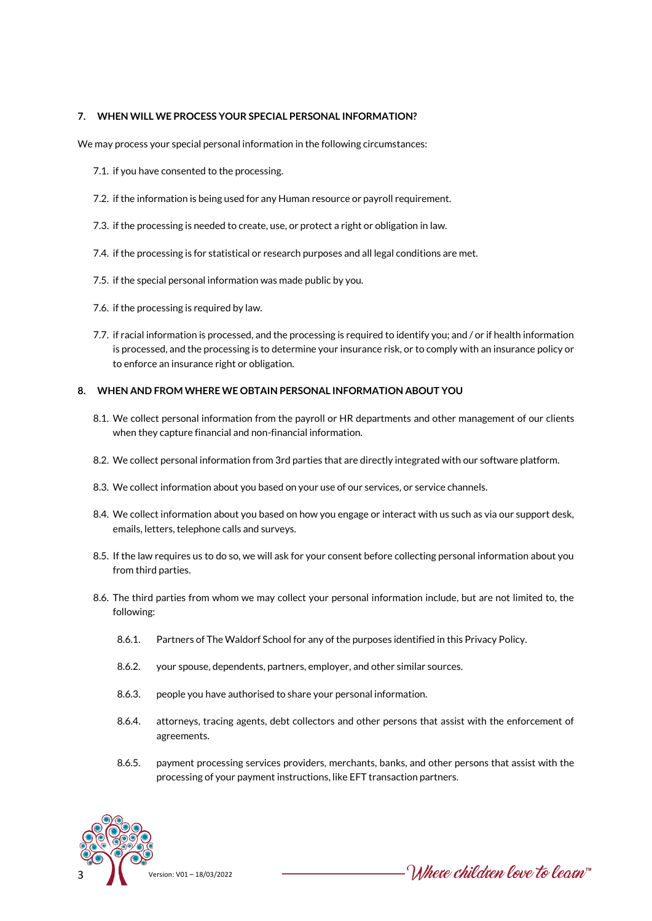#### **7. WHEN WILL WE PROCESS YOUR SPECIAL PERSONAL INFORMATION?**

We may process your special personal information in the following circumstances:

- 7.1. if you have consented to the processing.
- 7.2. if the information is being used for any Human resource or payroll requirement.
- 7.3. if the processing is needed to create, use, or protect a right or obligation in law.
- 7.4. if the processing is for statistical or research purposes and all legal conditions are met.
- 7.5. if the special personal information was made public by you.
- 7.6. if the processing is required by law.
- 7.7. if racial information is processed, and the processing is required to identify you; and / or if health information is processed, and the processing is to determine your insurance risk, or to comply with an insurance policy or to enforce an insurance right or obligation.

#### **8. WHEN AND FROM WHERE WE OBTAIN PERSONAL INFORMATION ABOUT YOU**

- 8.1. We collect personal information from the payroll or HR departments and other management of our clients when they capture financial and non-financial information.
- 8.2. We collect personal information from 3rd parties that are directly integrated with our software platform.
- 8.3. We collect information about you based on your use of our services, or service channels.
- 8.4. We collect information about you based on how you engage or interact with us such as via our support desk, emails, letters, telephone calls and surveys.
- 8.5. If the law requires us to do so, we will ask for your consent before collecting personal information about you from third parties.
- 8.6. The third parties from whom we may collect your personal information include, but are not limited to, the following:
	- 8.6.1. Partners of The Waldorf School for any of the purposes identified in this Privacy Policy.
	- 8.6.2. your spouse, dependents, partners, employer, and other similar sources.
	- 8.6.3. people you have authorised to share your personal information.
	- 8.6.4. attorneys, tracing agents, debt collectors and other persons that assist with the enforcement of agreements.
	- 8.6.5. payment processing services providers, merchants, banks, and other persons that assist with the processing of your payment instructions, like EFT transaction partners.



Where children love to learn™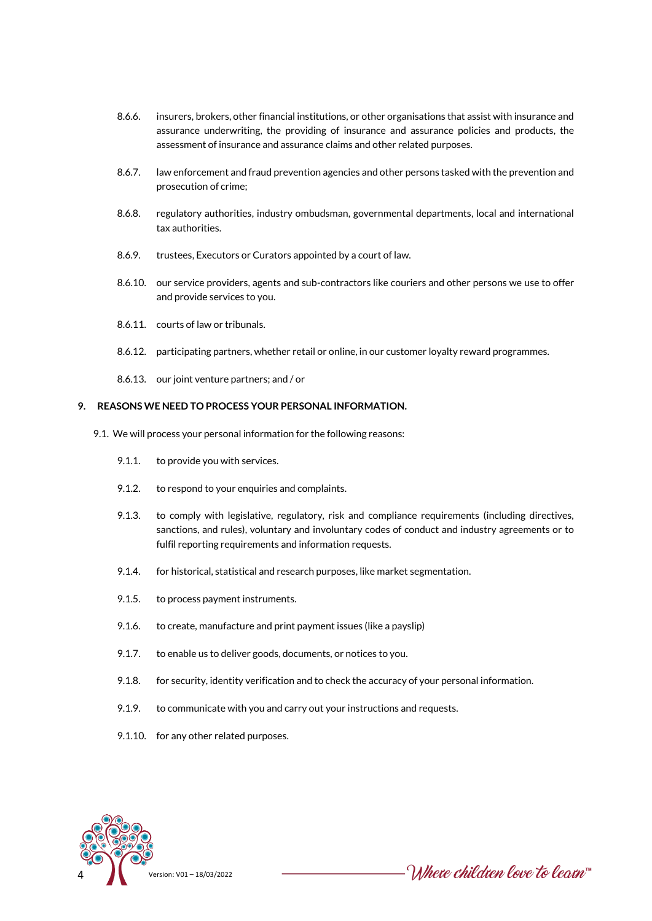- 8.6.6. insurers, brokers, other financial institutions, or other organisations that assist with insurance and assurance underwriting, the providing of insurance and assurance policies and products, the assessment of insurance and assurance claims and other related purposes.
- 8.6.7. law enforcement and fraud prevention agencies and other persons tasked with the prevention and prosecution of crime;
- 8.6.8. regulatory authorities, industry ombudsman, governmental departments, local and international tax authorities.
- 8.6.9. trustees, Executors or Curators appointed by a court of law.
- 8.6.10. our service providers, agents and sub-contractors like couriers and other persons we use to offer and provide services to you.
- 8.6.11. courts of law or tribunals.
- 8.6.12. participating partners, whether retail or online, in our customer loyalty reward programmes.
- 8.6.13. our joint venture partners; and / or

#### **9. REASONS WE NEED TO PROCESS YOUR PERSONAL INFORMATION.**

- 9.1. We will process your personal information for the following reasons:
	- 9.1.1. to provide you with services.
	- 9.1.2. to respond to your enquiries and complaints.
	- 9.1.3. to comply with legislative, regulatory, risk and compliance requirements (including directives, sanctions, and rules), voluntary and involuntary codes of conduct and industry agreements or to fulfil reporting requirements and information requests.
	- 9.1.4. for historical, statistical and research purposes, like market segmentation.
	- 9.1.5. to process payment instruments.
	- 9.1.6. to create, manufacture and print payment issues (like a payslip)
	- 9.1.7. to enable us to deliver goods, documents, or notices to you.
	- 9.1.8. for security, identity verification and to check the accuracy of your personal information.
	- 9.1.9. to communicate with you and carry out your instructions and requests.
	- 9.1.10. for any other related purposes.



∙ Where children love to learn™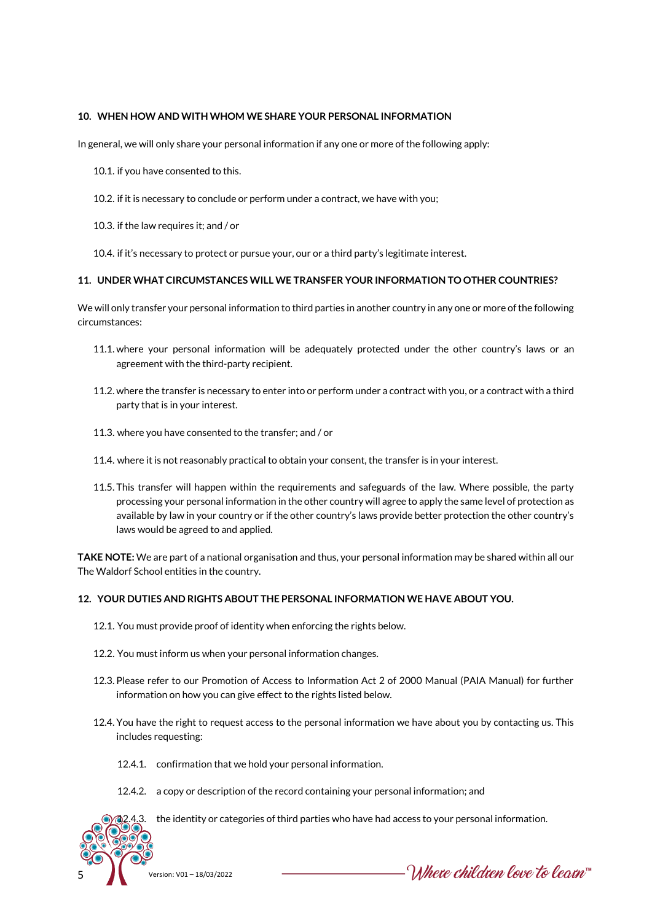# **10. WHEN HOW AND WITH WHOM WE SHARE YOUR PERSONAL INFORMATION**

In general, we will only share your personal information if any one or more of the following apply:

- 10.1. if you have consented to this.
- 10.2. if it is necessary to conclude or perform under a contract, we have with you;
- 10.3. if the law requires it; and / or
- 10.4. if it's necessary to protect or pursue your, our or a third party's legitimate interest.

#### **11. UNDER WHAT CIRCUMSTANCES WILL WE TRANSFER YOUR INFORMATION TO OTHER COUNTRIES?**

We will only transfer your personal information to third parties in another country in any one or more of the following circumstances:

- 11.1. where your personal information will be adequately protected under the other country's laws or an agreement with the third-party recipient.
- 11.2. where the transfer is necessary to enter into or perform under a contract with you, or a contract with a third party that is in your interest.
- 11.3. where you have consented to the transfer; and / or
- 11.4. where it is not reasonably practical to obtain your consent, the transfer is in your interest.
- 11.5. This transfer will happen within the requirements and safeguards of the law. Where possible, the party processing your personal information in the other country will agree to apply the same level of protection as available by law in your country or if the other country's laws provide better protection the other country's laws would be agreed to and applied.

**TAKE NOTE:** We are part of a national organisation and thus, your personal information may be shared within all our The Waldorf School entities in the country.

# **12. YOUR DUTIES AND RIGHTS ABOUT THE PERSONAL INFORMATION WE HAVE ABOUT YOU.**

- 12.1. You must provide proof of identity when enforcing the rights below.
- 12.2. You must inform us when your personal information changes.
- 12.3. Please refer to our Promotion of Access to Information Act 2 of 2000 Manual (PAIA Manual) for further information on how you can give effect to the rights listed below.
- 12.4. You have the right to request access to the personal information we have about you by contacting us. This includes requesting:
	- 12.4.1. confirmation that we hold your personal information.
	- 12.4.2. a copy or description of the record containing your personal information; and



12.4.3. the identity or categories of third parties who have had access to your personal information.

 $-$  Where children love to learn  $\check{~}$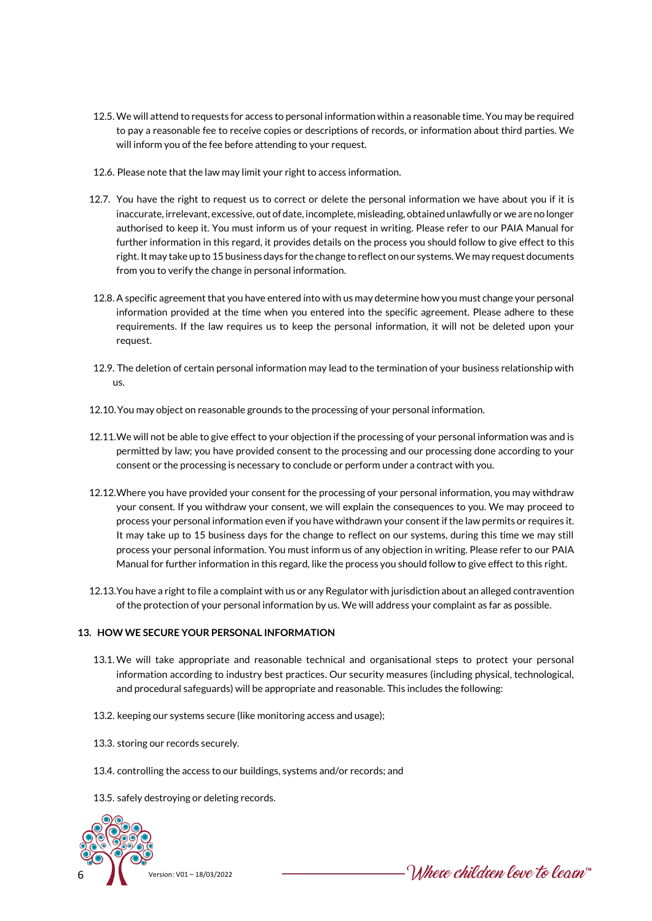- 12.5. We will attend to requests for access to personal information within a reasonable time. You may be required to pay a reasonable fee to receive copies or descriptions of records, or information about third parties. We will inform you of the fee before attending to your request.
- 12.6. Please note that the law may limit your right to access information.
- 12.7. You have the right to request us to correct or delete the personal information we have about you if it is inaccurate, irrelevant, excessive, out of date, incomplete, misleading, obtained unlawfully or we are no longer authorised to keep it. You must inform us of your request in writing. Please refer to our PAIA Manual for further information in this regard, it provides details on the process you should follow to give effect to this right. It may take up to 15 business days for the change to reflect on our systems. We may request documents from you to verify the change in personal information.
- 12.8. A specific agreement that you have entered into with us may determine how you must change your personal information provided at the time when you entered into the specific agreement. Please adhere to these requirements. If the law requires us to keep the personal information, it will not be deleted upon your request.
- 12.9. The deletion of certain personal information may lead to the termination of your business relationship with us.
- 12.10.You may object on reasonable grounds to the processing of your personal information.
- 12.11.We will not be able to give effect to your objection if the processing of your personal information was and is permitted by law; you have provided consent to the processing and our processing done according to your consent or the processing is necessary to conclude or perform under a contract with you.
- 12.12.Where you have provided your consent for the processing of your personal information, you may withdraw your consent. If you withdraw your consent, we will explain the consequences to you. We may proceed to process your personal information even if you have withdrawn your consent if the law permits or requires it. It may take up to 15 business days for the change to reflect on our systems, during this time we may still process your personal information. You must inform us of any objection in writing. Please refer to our PAIA Manual for further information in this regard, like the process you should follow to give effect to this right.
- 12.13.You have a right to file a complaint with us or any Regulator with jurisdiction about an alleged contravention of the protection of your personal information by us. We will address your complaint as far as possible.

# **13. HOW WE SECURE YOUR PERSONAL INFORMATION**

- 13.1. We will take appropriate and reasonable technical and organisational steps to protect your personal information according to industry best practices. Our security measures (including physical, technological, and procedural safeguards) will be appropriate and reasonable. This includes the following:
- 13.2. keeping our systems secure (like monitoring access and usage);
- 13.3. storing our records securely.
- 13.4. controlling the access to our buildings, systems and/or records; and
- 13.5. safely destroying or deleting records.